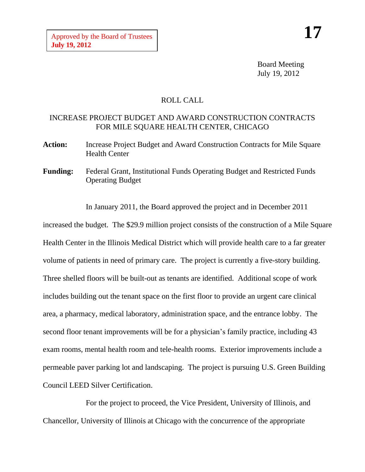Board Meeting July 19, 2012

## ROLL CALL

## INCREASE PROJECT BUDGET AND AWARD CONSTRUCTION CONTRACTS FOR MILE SQUARE HEALTH CENTER, CHICAGO

- Action: Increase Project Budget and Award Construction Contracts for Mile Square Health Center
- **Funding:** Federal Grant, Institutional Funds Operating Budget and Restricted Funds Operating Budget

In January 2011, the Board approved the project and in December 2011 increased the budget. The \$29.9 million project consists of the construction of a Mile Square Health Center in the Illinois Medical District which will provide health care to a far greater volume of patients in need of primary care. The project is currently a five-story building. Three shelled floors will be built-out as tenants are identified. Additional scope of work includes building out the tenant space on the first floor to provide an urgent care clinical area, a pharmacy, medical laboratory, administration space, and the entrance lobby. The second floor tenant improvements will be for a physician's family practice, including 43 exam rooms, mental health room and tele-health rooms. Exterior improvements include a permeable paver parking lot and landscaping. The project is pursuing U.S. Green Building Council LEED Silver Certification.

For the project to proceed, the Vice President, University of Illinois, and Chancellor, University of Illinois at Chicago with the concurrence of the appropriate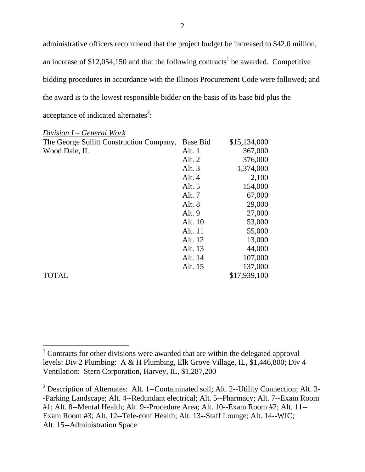administrative officers recommend that the project budget be increased to \$42.0 million, an increase of \$12,054,150 and that the following contracts<sup>1</sup> be awarded. Competitive bidding procedures in accordance with the Illinois Procurement Code were followed; and the award is to the lowest responsible bidder on the basis of its base bid plus the acceptance of indicated alternates<sup>2</sup>:

| Division $I$ – General Work              |                 |              |
|------------------------------------------|-----------------|--------------|
| The George Sollitt Construction Company, | <b>Base Bid</b> | \$15,134,000 |
| Wood Dale, IL                            | Alt. $1$        | 367,000      |
|                                          | Alt. 2          | 376,000      |
|                                          | Alt. 3          | 1,374,000    |
|                                          | Alt. 4          | 2,100        |
|                                          | Alt. $5$        | 154,000      |
|                                          | Alt. 7          | 67,000       |
|                                          | Alt. 8          | 29,000       |
|                                          | Alt. 9          | 27,000       |
|                                          | Alt. 10         | 53,000       |
|                                          | Alt. 11         | 55,000       |
|                                          | Alt. 12         | 13,000       |
|                                          | Alt. 13         | 44,000       |
|                                          | Alt. 14         | 107,000      |
|                                          | Alt. 15         | 137,000      |
| <b>TOTAL</b>                             |                 | \$17,939,100 |

 $1$  Contracts for other divisions were awarded that are within the delegated approval levels: Div 2 Plumbing: A & H Plumbing, Elk Grove Village, IL, \$1,446,800; Div 4 Ventilation: Stern Corporation, Harvey, IL, \$1,287,200

<sup>&</sup>lt;sup>2</sup> Description of Alternates: Alt. 1--Contaminated soil; Alt. 2--Utility Connection; Alt. 3--Parking Landscape; Alt. 4--Redundant electrical; Alt. 5--Pharmacy; Alt. 7--Exam Room #1; Alt. 8--Mental Health; Alt. 9--Procedure Area; Alt. 10--Exam Room #2; Alt. 11-- Exam Room #3; Alt. 12--Tele-conf Health; Alt. 13--Staff Lounge; Alt. 14--WIC; Alt. 15--Administration Space